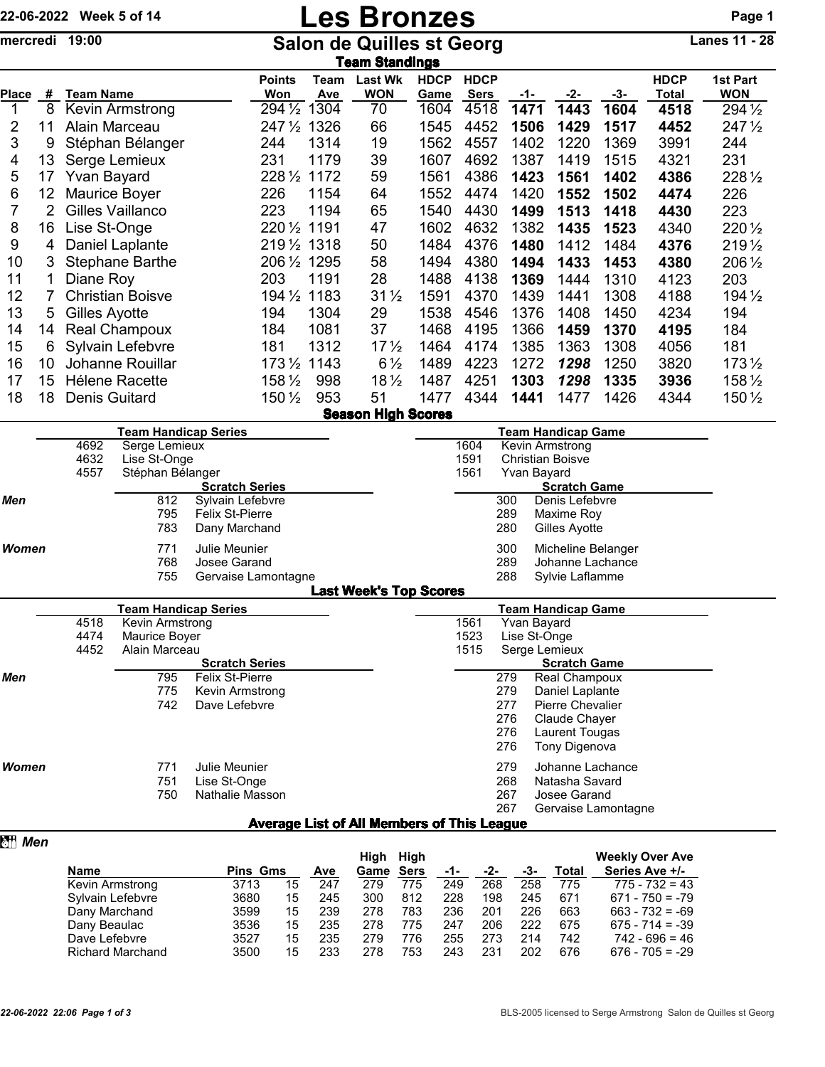## 22-06-2022 Week 5 of 14 **Les Bronzes** Page 1

mercredi 19:00 Salon de Quilles st Georg Lanes 11 - 28

|              | Team Standings  |                         |                      |             |                              |                     |                            |      |      |       |                      |                        |
|--------------|-----------------|-------------------------|----------------------|-------------|------------------------------|---------------------|----------------------------|------|------|-------|----------------------|------------------------|
| <b>Place</b> | #               | <b>Team Name</b>        | <b>Points</b><br>Won | Team<br>Ave | <b>Last Wk</b><br><b>WON</b> | <b>HDCP</b><br>Game | <b>HDCP</b><br><b>Sers</b> | -1-  | -2-  | $-3-$ | <b>HDCP</b><br>Total | 1st Part<br><b>WON</b> |
| 1            | 8               | Kevin Armstrong         | 294 1/2              | 1304        | 70                           | 1604                | 4518                       | 1471 | 1443 | 1604  | 4518                 | 294 1/2                |
| 2            | 11              | Alain Marceau           | $247\frac{1}{2}$     | 1326        | 66                           | 1545                | 4452                       | 1506 | 1429 | 1517  | 4452                 | $247\frac{1}{2}$       |
| 3            | 9               | Stéphan Bélanger        | 244                  | 1314        | 19                           | 1562                | 4557                       | 1402 | 1220 | 1369  | 3991                 | 244                    |
| 4            | 13              | Serge Lemieux           | 231                  | 1179        | 39                           | 1607                | 4692                       | 1387 | 1419 | 1515  | 4321                 | 231                    |
| 5            | 17              | Yvan Bayard             | $228\frac{1}{2}$     | 1172        | 59                           | 1561                | 4386                       | 1423 | 1561 | 1402  | 4386                 | 228 1/2                |
| 6            | 12              | Maurice Boyer           | 226                  | 1154        | 64                           | 1552                | 4474                       | 1420 | 1552 | 1502  | 4474                 | 226                    |
| 7            | 2               | Gilles Vaillanco        | 223                  | 1194        | 65                           | 1540                | 4430                       | 1499 | 1513 | 1418  | 4430                 | 223                    |
| 8            | 16              | Lise St-Onge            | 220 1/2 1191         |             | 47                           | 1602                | 4632                       | 1382 | 1435 | 1523  | 4340                 | 220 1/2                |
| 9            | 4               | Daniel Laplante         | 2191/2 1318          |             | 50                           | 1484                | 4376                       | 1480 | 1412 | 1484  | 4376                 | 219 1/2                |
| 10           |                 | <b>Stephane Barthe</b>  | 2061/2 1295          |             | 58                           | 1494                | 4380                       | 1494 | 1433 | 1453  | 4380                 | 206 1/2                |
| 11           |                 | Diane Roy               | 203                  | 1191        | 28                           | 1488                | 4138                       | 1369 | 1444 | 1310  | 4123                 | 203                    |
| 12           |                 | <b>Christian Boisve</b> | 194 1/2 1183         |             | $31\frac{1}{2}$              | 1591                | 4370                       | 1439 | 1441 | 1308  | 4188                 | 194 1/2                |
| 13           | $5\overline{)}$ | Gilles Ayotte           | 194                  | 1304        | 29                           | 1538                | 4546                       | 1376 | 1408 | 1450  | 4234                 | 194                    |
| 14           | 14              | <b>Real Champoux</b>    | 184                  | 1081        | 37                           | 1468                | 4195                       | 1366 | 1459 | 1370  | 4195                 | 184                    |
| 15           | 6               | Sylvain Lefebvre        | 181                  | 1312        | 17 <sub>2</sub>              | 1464                | 4174                       | 1385 | 1363 | 1308  | 4056                 | 181                    |
| 16           | 10              | Johanne Rouillar        | $173\,\frac{1}{2}$   | 1143        | $6\frac{1}{2}$               | 1489                | 4223                       | 1272 | 1298 | 1250  | 3820                 | $173\frac{1}{2}$       |
| 17           | 15              | <b>Hélene Racette</b>   | 158 $\frac{1}{2}$    | 998         | $18\frac{1}{2}$              | 1487                | 4251                       | 1303 | 1298 | 1335  | 3936                 | 158 1/2                |
| 18           | 18              | <b>Denis Guitard</b>    | 150 $\frac{1}{2}$    | 953         | 51                           | 1477                | 4344                       | 1441 | 1477 | 1426  | 4344                 | 150 $\frac{1}{2}$      |
|              |                 |                         |                      |             | <b>Season High Scores</b>    |                     |                            |      |      |       |                      |                        |

|            |      | <b>Team Handicap Series</b> |                       |                               |                                        | <b>Team Handicap Game</b> |  |  |
|------------|------|-----------------------------|-----------------------|-------------------------------|----------------------------------------|---------------------------|--|--|
|            | 4692 | Serge Lemieux               |                       | 1604                          |                                        | Kevin Armstrong           |  |  |
|            | 4632 | Lise St-Onge                |                       | 1591                          | <b>Christian Boisve</b><br>Yvan Bayard |                           |  |  |
|            | 4557 | Stéphan Bélanger            |                       | 1561                          |                                        |                           |  |  |
|            |      |                             | <b>Scratch Series</b> |                               |                                        | <b>Scratch Game</b>       |  |  |
| <b>Men</b> |      | 812                         | Sylvain Lefebvre      |                               | 300                                    | Denis Lefebvre            |  |  |
|            |      | 795                         | Felix St-Pierre       |                               | 289                                    | Maxime Roy                |  |  |
|            |      | 783                         | Dany Marchand         |                               | 280                                    | Gilles Ayotte             |  |  |
| Women      |      | 771                         | Julie Meunier         |                               | 300                                    | Micheline Belanger        |  |  |
|            |      | 768                         | Josee Garand          |                               | 289                                    | Johanne Lachance          |  |  |
|            |      | 755                         | Gervaise Lamontagne   |                               | 288                                    | Sylvie Laflamme           |  |  |
|            |      |                             |                       | <b>Last Week's Top Scores</b> |                                        |                           |  |  |
|            |      | <b>Team Handicap Series</b> |                       |                               |                                        | Team Handicap Game        |  |  |
|            | 4518 | Kevin Armstrong             |                       | 1561                          | Yvan Bayard                            |                           |  |  |
|            | 4474 | Maurice Bover               |                       | 1523                          |                                        | _ise St-Onge              |  |  |

|            | 4474<br>4452 | Maurice Boyer<br>Alain Marceau |                        | 1523<br>1515 |     | Lise St-Onge<br>Serge Lemieux |
|------------|--------------|--------------------------------|------------------------|--------------|-----|-------------------------------|
|            |              |                                | <b>Scratch Series</b>  |              |     | <b>Scratch Game</b>           |
| <b>Men</b> |              | 795                            | <b>Felix St-Pierre</b> |              | 279 | <b>Real Champoux</b>          |
|            |              | 775                            | Kevin Armstrong        |              | 279 | Daniel Laplante               |
|            |              | 742                            | Dave Lefebvre          |              | 277 | <b>Pierre Chevalier</b>       |
|            |              |                                |                        |              | 276 | Claude Chayer                 |
|            |              |                                |                        |              | 276 | Laurent Tougas                |
|            |              |                                |                        |              | 276 | Tony Digenova                 |
| Women      |              | 771                            | Julie Meunier          |              | 279 | Johanne Lachance              |
|            |              | 751                            | Lise St-Onge           |              | 268 | Natasha Savard                |
|            |              | 750                            | Nathalie Masson        |              | 267 | Josee Garand                  |
|            |              |                                |                        |              | 267 | Gervaise Lamontagne           |

## Average List of All Members of This League

| 图 Men |                         |                 |    |     |      |      |     |     |     |       |                        |
|-------|-------------------------|-----------------|----|-----|------|------|-----|-----|-----|-------|------------------------|
|       |                         |                 |    |     | High | High |     |     |     |       | <b>Weekly Over Ave</b> |
|       | <b>Name</b>             | <b>Pins Gms</b> |    | Ave | Game | Sers | -1- | -2- | -3- | Total | Series Ave +/-         |
|       | Kevin Armstrong         | 3713            | 15 | 247 | 279  | 775  | 249 | 268 | 258 | 775   | $775 - 732 = 43$       |
|       | Sylvain Lefebvre        | 3680            | 15 | 245 | 300  | 812  | 228 | 198 | 245 | 671   | $671 - 750 = -79$      |
|       | Dany Marchand           | 3599            | 15 | 239 | 278  | 783  | 236 | 201 | 226 | 663   | $663 - 732 = -69$      |
|       | Dany Beaulac            | 3536            | 15 | 235 | 278  | 775  | 247 | 206 | 222 | 675   | $675 - 714 = -39$      |
|       | Dave Lefebvre           | 3527            | 15 | 235 | 279  | 776  | 255 | 273 | 214 | 742   | $742 - 696 = 46$       |
|       | <b>Richard Marchand</b> | 3500            | 15 | 233 | 278  | 753  | 243 | 231 | 202 | 676   | $676 - 705 = -29$      |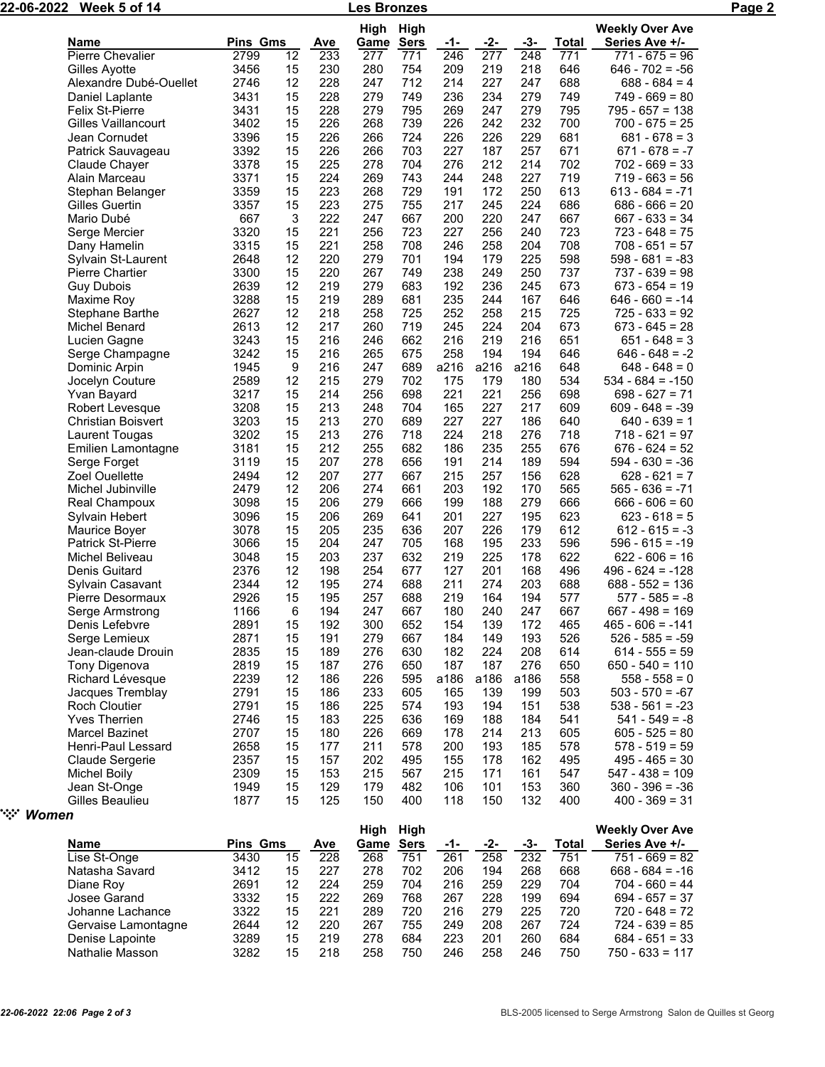| 22-06-2022    | Week 5 of 14                              |              |          |            | Les Bronzes |             |            |                  |                  |              |                                      | Page 2 |
|---------------|-------------------------------------------|--------------|----------|------------|-------------|-------------|------------|------------------|------------------|--------------|--------------------------------------|--------|
|               |                                           |              |          |            | High        | High        |            |                  |                  |              | <b>Weekly Over Ave</b>               |        |
|               | Name                                      | Pins Gms     |          | <b>Ave</b> | <u>Game</u> | <b>Sers</b> | <u>-1-</u> | $-2-$            | $-3-$            | <b>Total</b> | Series Ave +/-                       |        |
|               | Pierre Chevalier                          | 2799         | 12       | 233        | 277         | 771         | 246        | $\overline{277}$ | $\overline{248}$ | 771          | $771 - 675 = 96$                     |        |
|               | Gilles Ayotte                             | 3456         | 15       | 230        | 280         | 754         | 209        | 219              | 218              | 646          | $646 - 702 = -56$                    |        |
|               | Alexandre Dubé-Ouellet                    | 2746         | 12       | 228        | 247         | 712         | 214        | 227              | 247              | 688          | $688 - 684 = 4$                      |        |
|               | Daniel Laplante                           | 3431         | 15       | 228        | 279         | 749         | 236        | 234              | 279              | 749          | $749 - 669 = 80$                     |        |
|               | <b>Felix St-Pierre</b>                    | 3431         | 15       | 228        | 279         | 795         | 269        | 247              | 279              | 795          | $795 - 657 = 138$                    |        |
|               | Gilles Vaillancourt                       | 3402         | 15       | 226        | 268         | 739         | 226        | 242              | 232              | 700          | $700 - 675 = 25$                     |        |
|               | Jean Cornudet                             | 3396         | 15       | 226        | 266         | 724         | 226        | 226              | 229              | 681          | $681 - 678 = 3$                      |        |
|               | Patrick Sauvageau                         | 3392         | 15       | 226        | 266         | 703         | 227        | 187              | 257              | 671          | $671 - 678 = -7$<br>$702 - 669 = 33$ |        |
|               | Claude Chayer<br>Alain Marceau            | 3378<br>3371 | 15<br>15 | 225<br>224 | 278<br>269  | 704<br>743  | 276<br>244 | 212<br>248       | 214<br>227       | 702<br>719   | $719 - 663 = 56$                     |        |
|               | Stephan Belanger                          | 3359         | 15       | 223        | 268         | 729         | 191        | 172              | 250              | 613          | $613 - 684 = -71$                    |        |
|               | Gilles Guertin                            | 3357         | 15       | 223        | 275         | 755         | 217        | 245              | 224              | 686          | $686 - 666 = 20$                     |        |
|               | Mario Dubé                                | 667          | 3        | 222        | 247         | 667         | 200        | 220              | 247              | 667          | $667 - 633 = 34$                     |        |
|               | Serge Mercier                             | 3320         | 15       | 221        | 256         | 723         | 227        | 256              | 240              | 723          | $723 - 648 = 75$                     |        |
|               | Dany Hamelin                              | 3315         | 15       | 221        | 258         | 708         | 246        | 258              | 204              | 708          | $708 - 651 = 57$                     |        |
|               | Sylvain St-Laurent                        | 2648         | 12       | 220        | 279         | 701         | 194        | 179              | 225              | 598          | $598 - 681 = -83$                    |        |
|               | <b>Pierre Chartier</b>                    | 3300         | 15       | 220        | 267         | 749         | 238        | 249              | 250              | 737          | $737 - 639 = 98$                     |        |
|               | <b>Guy Dubois</b>                         | 2639         | 12       | 219        | 279         | 683         | 192        | 236              | 245              | 673          | $673 - 654 = 19$                     |        |
|               | Maxime Roy                                | 3288         | 15       | 219        | 289         | 681         | 235        | 244              | 167              | 646          | $646 - 660 = -14$                    |        |
|               | Stephane Barthe                           | 2627         | 12       | 218        | 258         | 725         | 252        | 258              | 215              | 725          | $725 - 633 = 92$                     |        |
|               | Michel Benard                             | 2613         | 12       | 217        | 260         | 719         | 245        | 224              | 204              | 673          | $673 - 645 = 28$                     |        |
|               | Lucien Gagne                              | 3243         | 15       | 216        | 246         | 662         | 216        | 219              | 216              | 651          | $651 - 648 = 3$                      |        |
|               | Serge Champagne                           | 3242         | 15       | 216        | 265         | 675         | 258        | 194              | 194              | 646          | $646 - 648 = -2$                     |        |
|               | Dominic Arpin                             | 1945         | 9        | 216        | 247         | 689         | a216       | a216             | a216             | 648          | $648 - 648 = 0$                      |        |
|               | Jocelyn Couture                           | 2589         | 12       | 215        | 279         | 702         | 175        | 179              | 180              | 534          | $534 - 684 = -150$                   |        |
|               | <b>Yvan Bayard</b>                        | 3217         | 15       | 214        | 256         | 698         | 221        | 221              | 256              | 698          | $698 - 627 = 71$                     |        |
|               | Robert Levesque                           | 3208         | 15       | 213        | 248         | 704         | 165        | 227              | 217              | 609          | $609 - 648 = -39$                    |        |
|               | <b>Christian Boisvert</b>                 | 3203         | 15       | 213        | 270         | 689         | 227        | 227              | 186              | 640          | $640 - 639 = 1$                      |        |
|               | Laurent Tougas                            | 3202         | 15       | 213        | 276         | 718         | 224        | 218              | 276              | 718          | $718 - 621 = 97$                     |        |
|               | Emilien Lamontagne                        | 3181         | 15       | 212        | 255         | 682         | 186        | 235              | 255              | 676          | $676 - 624 = 52$                     |        |
|               | Serge Forget                              | 3119         | 15       | 207        | 278         | 656         | 191        | 214              | 189              | 594          | $594 - 630 = -36$                    |        |
|               | Zoel Ouellette                            | 2494         | 12       | 207        | 277         | 667         | 215        | 257              | 156              | 628          | $628 - 621 = 7$                      |        |
|               | Michel Jubinville                         | 2479         | 12       | 206        | 274         | 661         | 203        | 192              | 170              | 565          | $565 - 636 = -71$                    |        |
|               | Real Champoux                             | 3098         | 15       | 206        | 279         | 666         | 199        | 188              | 279              | 666          | $666 - 606 = 60$                     |        |
|               | Sylvain Hebert                            | 3096<br>3078 | 15<br>15 | 206<br>205 | 269<br>235  | 641<br>636  | 201<br>207 | 227<br>226       | 195<br>179       | 623<br>612   | $623 - 618 = 5$<br>$612 - 615 = -3$  |        |
|               | Maurice Boyer<br><b>Patrick St-Pierre</b> | 3066         | 15       | 204        | 247         | 705         | 168        | 195              | 233              | 596          | $596 - 615 = -19$                    |        |
|               | Michel Beliveau                           | 3048         | 15       | 203        | 237         | 632         | 219        | 225              | 178              | 622          | $622 - 606 = 16$                     |        |
|               | Denis Guitard                             | 2376         | 12       | 198        | 254         | 677         | 127        | 201              | 168              | 496          | $496 - 624 = -128$                   |        |
|               | Sylvain Casavant                          | 2344         | 12       | 195        | 274         | 688         | 211        | 274              | 203              | 688          | $688 - 552 = 136$                    |        |
|               | Pierre Desormaux                          | 2926         | 15       | 195        | 257         | 688         | 219        | 164              | 194              | 577          | $577 - 585 = -8$                     |        |
|               | Serge Armstrong                           | 1166         | 6        | 194        | 247         | 667         | 180        | 240              | 247              | 667          | $667 - 498 = 169$                    |        |
|               | Denis Lefebvre                            | 2891         | 15       | 192        | 300         | 652         | 154        | 139              | 172              | 465          | $465 - 606 = -141$                   |        |
|               | Serge Lemieux                             | 2871         | 15       | 191        | 279         | 667         | 184        | 149              | 193              | 526          | $526 - 585 = -59$                    |        |
|               | Jean-claude Drouin                        | 2835         | 15       | 189        | 276         | 630         | 182        | 224              | 208              | 614          | $614 - 555 = 59$                     |        |
|               | Tony Digenova                             | 2819         | 15       | 187        | 276         | 650         | 187        | 187              | 276              | 650          | $650 - 540 = 110$                    |        |
|               | Richard Lévesque                          | 2239         | 12       | 186        | 226         | 595         | a186       | a186             | a186             | 558          | $558 - 558 = 0$                      |        |
|               | Jacques Tremblay                          | 2791         | 15       | 186        | 233         | 605         | 165        | 139              | 199              | 503          | $503 - 570 = -67$                    |        |
|               | <b>Roch Cloutier</b>                      | 2791         | 15       | 186        | 225         | 574         | 193        | 194              | 151              | 538          | $538 - 561 = -23$                    |        |
|               | <b>Yves Therrien</b>                      | 2746         | 15       | 183        | 225         | 636         | 169        | 188              | 184              | 541          | $541 - 549 = -8$                     |        |
|               | Marcel Bazinet                            | 2707         | 15       | 180        | 226         | 669         | 178        | 214              | 213              | 605          | $605 - 525 = 80$                     |        |
|               | Henri-Paul Lessard                        | 2658         | 15       | 177        | 211         | 578         | 200        | 193              | 185              | 578          | $578 - 519 = 59$                     |        |
|               | Claude Sergerie                           | 2357         | 15       | 157        | 202         | 495         | 155        | 178              | 162              | 495          | $495 - 465 = 30$                     |        |
|               | <b>Michel Boily</b>                       | 2309         | 15       | 153        | 215         | 567         | 215        | 171              | 161              | 547          | $547 - 438 = 109$                    |        |
|               | Jean St-Onge                              | 1949         | 15       | 129        | 179         | 482         | 106        | 101              | 153              | 360          | $360 - 396 = -36$                    |        |
|               | Gilles Beaulieu                           | 1877         | 15       | 125        | 150         | 400         | 118        | 150              | 132              | 400          | $400 - 369 = 31$                     |        |
| ੶ੑ੶੶<br>Women |                                           |              |          |            |             |             |            |                  |                  |              |                                      |        |
|               |                                           |              |          |            | High        | High        |            |                  |                  |              | <b>Weekly Over Ave</b>               |        |
|               | <b>Name</b>                               | Pins Gms     |          | <b>Ave</b> | Game        | <b>Sers</b> | <u>-1-</u> | <u>-2-</u>       | $-3-$            | <b>Total</b> | Series Ave +/-                       |        |
|               | Lise St-Onge                              | 3430         | 15       | 228        | 268         | 751         | 261        | 258              | 232              | 751          | $751 - 669 = 82$                     |        |
|               | Natasha Savard                            | 3412         | 15       | 227        | 278         | 702         | 206        | 194              | 268              | 668          | $668 - 684 = -16$                    |        |
|               | Diane Roy                                 | 2691         | 12       | 224        | 259         | 704         | 216        | 259              | 229              | 704          | $704 - 660 = 44$                     |        |
|               | Josee Garand                              | 3332         | 15       | 222        | 269         | 768         | 267        | 228              | 199              | 694          | $694 - 657 = 37$                     |        |
|               | Johanne Lachance                          | 3322         | 15       | 221        | 289         | 720         | 216        | 279              | 225              | 720          | $720 - 648 = 72$                     |        |
|               | Gervaise Lamontagne                       | 2644<br>3289 | 12<br>15 | 220<br>219 | 267<br>278  | 755         | 249        | 208              | 267<br>260       | 724<br>684   | $724 - 639 = 85$<br>$684 - 651 = 33$ |        |
|               | Denise Lapointe                           | 3282         | 15       | 218        |             | 684<br>750  | 223        | 201<br>258       | 246              | 750          | $750 - 633 = 117$                    |        |
|               | Nathalie Masson                           |              |          |            | 258         |             | 246        |                  |                  |              |                                      |        |